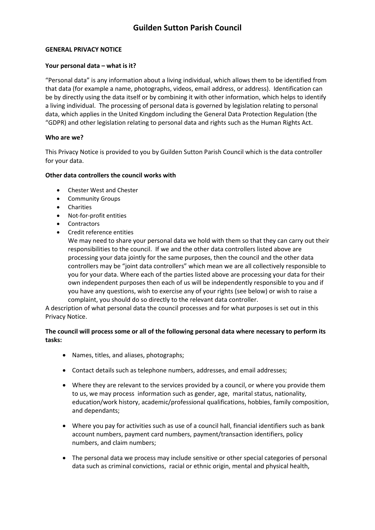### **GENERAL PRIVACY NOTICE**

### **Your personal data – what is it?**

"Personal data" is any information about a living individual, which allows them to be identified from that data (for example a name, photographs, videos, email address, or address). Identification can be by directly using the data itself or by combining it with other information, which helps to identify a living individual. The processing of personal data is governed by legislation relating to personal data, which applies in the United Kingdom including the General Data Protection Regulation (the "GDPR) and other legislation relating to personal data and rights such as the Human Rights Act.

## **Who are we?**

This Privacy Notice is provided to you by Guilden Sutton Parish Council which is the data controller for your data.

### **Other data controllers the council works with**

- Chester West and Chester
- Community Groups
- **•** Charities
- Not-for-profit entities
- Contractors
- Credit reference entities

We may need to share your personal data we hold with them so that they can carry out their responsibilities to the council. If we and the other data controllers listed above are processing your data jointly for the same purposes, then the council and the other data controllers may be "joint data controllers" which mean we are all collectively responsible to you for your data. Where each of the parties listed above are processing your data for their own independent purposes then each of us will be independently responsible to you and if you have any questions, wish to exercise any of your rights (see below) or wish to raise a complaint, you should do so directly to the relevant data controller.

A description of what personal data the council processes and for what purposes is set out in this Privacy Notice.

## **The council will process some or all of the following personal data where necessary to perform its tasks:**

- Names, titles, and aliases, photographs;
- Contact details such as telephone numbers, addresses, and email addresses;
- Where they are relevant to the services provided by a council, or where you provide them to us, we may process information such as gender, age, marital status, nationality, education/work history, academic/professional qualifications, hobbies, family composition, and dependants;
- Where you pay for activities such as use of a council hall, financial identifiers such as bank account numbers, payment card numbers, payment/transaction identifiers, policy numbers, and claim numbers;
- The personal data we process may include sensitive or other special categories of personal data such as criminal convictions, racial or ethnic origin, mental and physical health,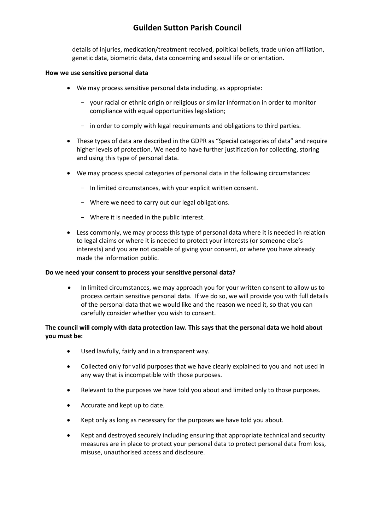details of injuries, medication/treatment received, political beliefs, trade union affiliation, genetic data, biometric data, data concerning and sexual life or orientation.

#### **How we use sensitive personal data**

- We may process sensitive personal data including, as appropriate:
	- your racial or ethnic origin or religious or similar information in order to monitor compliance with equal opportunities legislation;
	- in order to comply with legal requirements and obligations to third parties.
- These types of data are described in the GDPR as "Special categories of data" and require higher levels of protection. We need to have further justification for collecting, storing and using this type of personal data.
- We may process special categories of personal data in the following circumstances:
	- In limited circumstances, with your explicit written consent.
	- Where we need to carry out our legal obligations.
	- Where it is needed in the public interest.
- Less commonly, we may process this type of personal data where it is needed in relation to legal claims or where it is needed to protect your interests (or someone else's interests) and you are not capable of giving your consent, or where you have already made the information public.

#### **Do we need your consent to process your sensitive personal data?**

 In limited circumstances, we may approach you for your written consent to allow us to process certain sensitive personal data. If we do so, we will provide you with full details of the personal data that we would like and the reason we need it, so that you can carefully consider whether you wish to consent.

## **The council will comply with data protection law. This says that the personal data we hold about you must be:**

- Used lawfully, fairly and in a transparent way.
- Collected only for valid purposes that we have clearly explained to you and not used in any way that is incompatible with those purposes.
- Relevant to the purposes we have told you about and limited only to those purposes.
- Accurate and kept up to date.
- Kept only as long as necessary for the purposes we have told you about.
- Kept and destroyed securely including ensuring that appropriate technical and security measures are in place to protect your personal data to protect personal data from loss, misuse, unauthorised access and disclosure.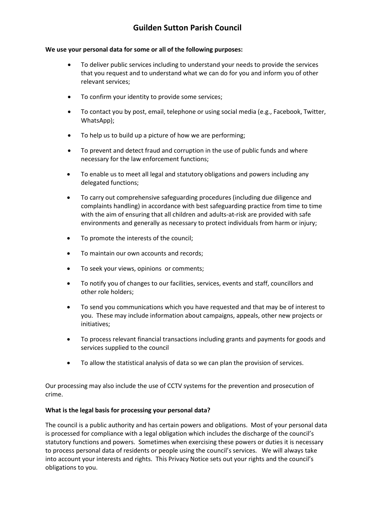#### **We use your personal data for some or all of the following purposes:**

- To deliver public services including to understand your needs to provide the services that you request and to understand what we can do for you and inform you of other relevant services;
- To confirm your identity to provide some services;
- To contact you by post, email, telephone or using social media (e.g., Facebook, Twitter, WhatsApp);
- To help us to build up a picture of how we are performing;
- To prevent and detect fraud and corruption in the use of public funds and where necessary for the law enforcement functions;
- To enable us to meet all legal and statutory obligations and powers including any delegated functions;
- To carry out comprehensive safeguarding procedures (including due diligence and complaints handling) in accordance with best safeguarding practice from time to time with the aim of ensuring that all children and adults-at-risk are provided with safe environments and generally as necessary to protect individuals from harm or injury;
- To promote the interests of the council;
- To maintain our own accounts and records;
- To seek your views, opinions or comments;
- To notify you of changes to our facilities, services, events and staff, councillors and other role holders;
- To send you communications which you have requested and that may be of interest to you. These may include information about campaigns, appeals, other new projects or initiatives;
- To process relevant financial transactions including grants and payments for goods and services supplied to the council
- To allow the statistical analysis of data so we can plan the provision of services.

Our processing may also include the use of CCTV systems for the prevention and prosecution of crime.

#### **What is the legal basis for processing your personal data?**

The council is a public authority and has certain powers and obligations. Most of your personal data is processed for compliance with a legal obligation which includes the discharge of the council's statutory functions and powers. Sometimes when exercising these powers or duties it is necessary to process personal data of residents or people using the council's services. We will always take into account your interests and rights. This Privacy Notice sets out your rights and the council's obligations to you.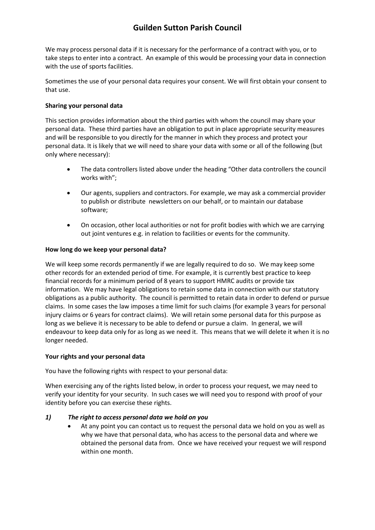We may process personal data if it is necessary for the performance of a contract with you, or to take steps to enter into a contract. An example of this would be processing your data in connection with the use of sports facilities.

Sometimes the use of your personal data requires your consent. We will first obtain your consent to that use.

## **Sharing your personal data**

This section provides information about the third parties with whom the council may share your personal data. These third parties have an obligation to put in place appropriate security measures and will be responsible to you directly for the manner in which they process and protect your personal data. It is likely that we will need to share your data with some or all of the following (but only where necessary):

- The data controllers listed above under the heading "Other data controllers the council works with";
- Our agents, suppliers and contractors. For example, we may ask a commercial provider to publish or distribute newsletters on our behalf, or to maintain our database software;
- On occasion, other local authorities or not for profit bodies with which we are carrying out joint ventures e.g. in relation to facilities or events for the community.

### **How long do we keep your personal data?**

We will keep some records permanently if we are legally required to do so. We may keep some other records for an extended period of time. For example, it is currently best practice to keep financial records for a minimum period of 8 years to support HMRC audits or provide tax information. We may have legal obligations to retain some data in connection with our statutory obligations as a public authority. The council is permitted to retain data in order to defend or pursue claims. In some cases the law imposes a time limit for such claims (for example 3 years for personal injury claims or 6 years for contract claims). We will retain some personal data for this purpose as long as we believe it is necessary to be able to defend or pursue a claim. In general, we will endeavour to keep data only for as long as we need it. This means that we will delete it when it is no longer needed.

#### **Your rights and your personal data**

You have the following rights with respect to your personal data:

When exercising any of the rights listed below, in order to process your request, we may need to verify your identity for your security. In such cases we will need you to respond with proof of your identity before you can exercise these rights.

## *1) The right to access personal data we hold on you*

 At any point you can contact us to request the personal data we hold on you as well as why we have that personal data, who has access to the personal data and where we obtained the personal data from. Once we have received your request we will respond within one month.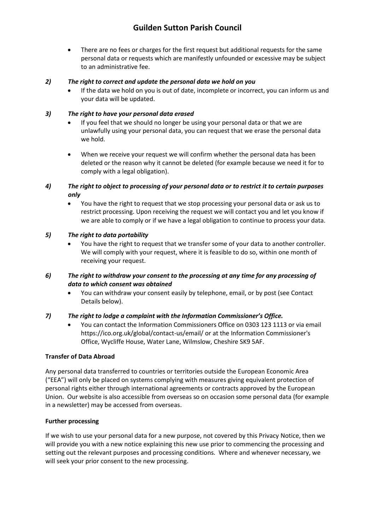There are no fees or charges for the first request but additional requests for the same personal data or requests which are manifestly unfounded or excessive may be subject to an administrative fee.

## *2) The right to correct and update the personal data we hold on you*

 If the data we hold on you is out of date, incomplete or incorrect, you can inform us and your data will be updated.

## *3) The right to have your personal data erased*

- If you feel that we should no longer be using your personal data or that we are unlawfully using your personal data, you can request that we erase the personal data we hold.
- When we receive your request we will confirm whether the personal data has been deleted or the reason why it cannot be deleted (for example because we need it for to comply with a legal obligation).

## *4) The right to object to processing of your personal data or to restrict it to certain purposes only*

 You have the right to request that we stop processing your personal data or ask us to restrict processing. Upon receiving the request we will contact you and let you know if we are able to comply or if we have a legal obligation to continue to process your data.

### *5) The right to data portability*

 You have the right to request that we transfer some of your data to another controller. We will comply with your request, where it is feasible to do so, within one month of receiving your request.

## *6) The right to withdraw your consent to the processing at any time for any processing of data to which consent was obtained*

 You can withdraw your consent easily by telephone, email, or by post (see Contact Details below).

#### *7) The right to lodge a complaint with the Information Commissioner's Office.*

 You can contact the Information Commissioners Office on 0303 123 1113 or via email https://ico.org.uk/global/contact-us/email/ or at the Information Commissioner's Office, Wycliffe House, Water Lane, Wilmslow, Cheshire SK9 5AF.

## **Transfer of Data Abroad**

Any personal data transferred to countries or territories outside the European Economic Area ("EEA") will only be placed on systems complying with measures giving equivalent protection of personal rights either through international agreements or contracts approved by the European Union. Our website is also accessible from overseas so on occasion some personal data (for example in a newsletter) may be accessed from overseas.

## **Further processing**

If we wish to use your personal data for a new purpose, not covered by this Privacy Notice, then we will provide you with a new notice explaining this new use prior to commencing the processing and setting out the relevant purposes and processing conditions. Where and whenever necessary, we will seek your prior consent to the new processing.